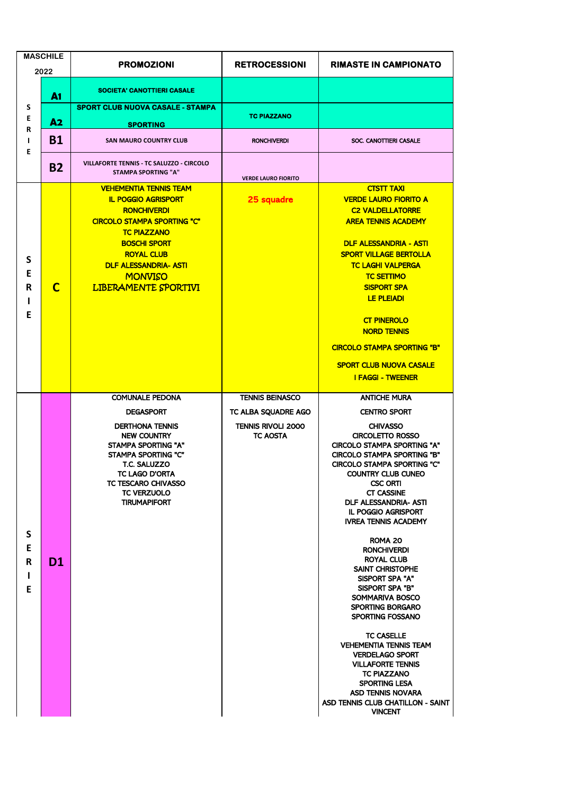| <b>MASCHILE</b><br>2022 |             | <b>PROMOZIONI</b>                                                                                                                                                                                                                                                          | <b>RETROCESSIONI</b>                          | <b>RIMASTE IN CAMPIONATO</b>                                                                                                                                                                                                                                                                                                                                                                                                       |
|-------------------------|-------------|----------------------------------------------------------------------------------------------------------------------------------------------------------------------------------------------------------------------------------------------------------------------------|-----------------------------------------------|------------------------------------------------------------------------------------------------------------------------------------------------------------------------------------------------------------------------------------------------------------------------------------------------------------------------------------------------------------------------------------------------------------------------------------|
|                         | A1          | <b>SOCIETA' CANOTTIERI CASALE</b>                                                                                                                                                                                                                                          |                                               |                                                                                                                                                                                                                                                                                                                                                                                                                                    |
| S<br>E<br>R<br>т<br>E   | A2          | <b>SPORT CLUB NUOVA CASALE - STAMPA</b><br><b>SPORTING</b>                                                                                                                                                                                                                 | <b>TC PIAZZANO</b>                            |                                                                                                                                                                                                                                                                                                                                                                                                                                    |
|                         | <b>B1</b>   | <b>SAN MAURO COUNTRY CLUB</b>                                                                                                                                                                                                                                              | <b>RONCHIVERDI</b>                            | SOC. CANOTTIERI CASALE                                                                                                                                                                                                                                                                                                                                                                                                             |
|                         | <b>B2</b>   | VILLAFORTE TENNIS - TC SALUZZO - CIRCOLO<br><b>STAMPA SPORTING "A"</b>                                                                                                                                                                                                     | <b>VERDE LAURO FIORITO</b>                    |                                                                                                                                                                                                                                                                                                                                                                                                                                    |
| S<br>E<br>R<br>ı<br>Е   | $\mathbf C$ | <b>VEHEMENTIA TENNIS TEAM</b><br><b>IL POGGIO AGRISPORT</b><br><b>RONCHIVERDI</b><br><b>CIRCOLO STAMPA SPORTING "C"</b><br><b>TC PIAZZANO</b><br><b>BOSCHI SPORT</b><br><b>ROYAL CLUB</b><br><b>DLF ALESSANDRIA- ASTI</b><br><b>MONVISO</b><br><b>LIBERAMENTE SPORTIVI</b> | 25 squadre                                    | <b>CTSTT TAXI</b><br><b>VERDE LAURO FIORITO A</b><br><b>C2 VALDELLATORRE</b><br><b>AREA TENNIS ACADEMY</b><br><b>DLF ALESSANDRIA - ASTI</b><br><b>SPORT VILLAGE BERTOLLA</b><br><b>TC LAGHI VALPERGA</b><br><b>TC SETTIMO</b><br><b>SISPORT SPA</b><br><b>LE PLEIADI</b><br><b>CT PINEROLO</b><br><b>NORD TENNIS</b><br><b>CIRCOLO STAMPA SPORTING "B"</b><br><b>SPORT CLUB NUOVA CASALE</b><br><b>I FAGGI - TWEENER</b>           |
|                         |             | <b>COMUNALE PEDONA</b><br><b>DEGASPORT</b>                                                                                                                                                                                                                                 | <b>TENNIS BEINASCO</b><br>TC ALBA SQUADRE AGO | <b>ANTICHE MURA</b><br><b>CENTRO SPORT</b>                                                                                                                                                                                                                                                                                                                                                                                         |
| S<br>E<br>R<br>ı<br>Е   |             | <b>DERTHONA TENNIS</b><br><b>NEW COUNTRY</b><br><b>STAMPA SPORTING "A"</b><br>STAMPA SPORTING "C"<br>T.C. SALUZZO<br><b>TC LAGO D'ORTA</b><br>TC TESCARO CHIVASSO<br><b>TC VERZUOLO</b><br><b>TIRUMAPIFORT</b>                                                             | <b>TENNIS RIVOLI 2000</b><br><b>TC AOSTA</b>  | <b>CHIVASSO</b><br><b>CIRCOLETTO ROSSO</b><br><b>CIRCOLO STAMPA SPORTING "A"</b><br><b>CIRCOLO STAMPA SPORTING "B"</b><br><b>CIRCOLO STAMPA SPORTING "C"</b><br>COUNTRY CLUB CUNEO<br><b>CSC ORTI</b><br><b>CT CASSINE</b><br><b>DLF ALESSANDRIA- ASTI</b><br><b>IL POGGIO AGRISPORT</b><br><b>IVREA TENNIS ACADEMY</b>                                                                                                            |
|                         | <b>D1</b>   |                                                                                                                                                                                                                                                                            |                                               | ROMA 20<br><b>RONCHIVERDI</b><br>ROYAL CLUB<br><b>SAINT CHRISTOPHE</b><br><b>SISPORT SPA "A"</b><br>SISPORT SPA "B"<br>SOMMARIVA BOSCO<br><b>SPORTING BORGARO</b><br>SPORTING FOSSANO<br><b>TC CASELLE</b><br><b>VEHEMENTIA TENNIS TEAM</b><br><b>VERDELAGO SPORT</b><br><b>VILLAFORTE TENNIS</b><br><b>TC PIAZZANO</b><br><b>SPORTING LESA</b><br><b>ASD TENNIS NOVARA</b><br>ASD TENNIS CLUB CHATILLON - SAINT<br><b>VINCENT</b> |